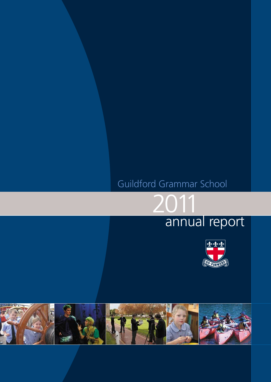# Guildford Grammar School

2011





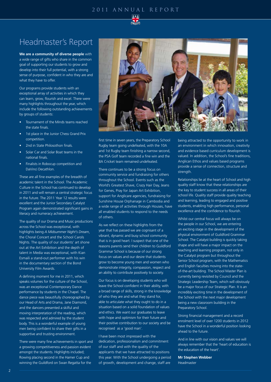### 2011 ANNUAL REPORT



## Headmaster's Report

**We are a community of diverse people** with a wide range of gifts who share in the common goal of supporting our students to grow and develop into their full potential, with a strong sense of purpose, confident in who they are and what they have to offer.

Our programs provide students with an exceptional array of activities in which they can learn, grow, flourish and excel. There were many highlights throughout the year, which include the following outstanding achievements by groups of students:

- Tournament of the Minds teams reached the state finals.
- 1st place in the Junior Chess Grand Prix competition.
- 2nd in State Philosothon finals.
- Solar Car and Solar Boat teams in the national finals.
- Finalists in Robocup competition and DaVinci Decathlon.

These are all fine examples of the breadth of academic talent in the School. The Academic Culture in the School has continued to develop in 2011 and will remain a central strategic focus in the future. The 2011 Year 12 results were excellent and the Junior Secondary Catalyst Program again demonstrated significant gains in literacy and numeracy achievement.

The quality of our Drama and Music productions across the School was exceptional, with highlights being *A Midsummer Night's Dream*, the Choral Concert and the School Carols Nights. The quality of our students' art shone out at the Art Exhibition and the depth of talent in Media was exceptional, with Kian Esmaili a stand-out performer with his win in the documentary section of the Bond University Film Awards.

A defining moment for me in 2011, which speaks volumes for the culture of the School, was an exceptional Contemporary Dance performance by students in the Chapel. The dance piece was beautifully choreographed by our Head of Arts and Drama, Jane Diamond, and the dancers presented a skilful and moving interpretation of the reading, which was respected and admired by the student body. This is a wonderful example of young men being confident to share their gifts in a supportive and trusting environment.

There were many fine achievements in sport and a growing competitiveness and passion evident amongst the students. Highlights included; Rowing placing second in the Hamer Cup and winning the Guildford on Swan Regatta for the



first time in seven years, the Preparatory School Rugby team going undefeated, with the 10A and 1st Rugby team finishing a narrow second, the PSA Golf team recorded a fine win and the 8A Cricket team remained undefeated.

There continues to be a strong focus on community service and fundraising for others throughout the School. Events such as the World's Greatest Shave, Crazy Hair Day, Jeans for Genes, Pray for Japan Art Exhibition, support for Anglicare agencies, fundraising for Sunshine House Orphanage in Cambodia and a wide range of activities through Houses, have all enabled students to respond to the needs of others.

As we reflect on these highlights from the year that has passed we are cognisant of a vibrant, dynamic and busy school community that is in good heart. I suspect that one of the reasons parents send their children to Guildford Grammar School is because of our strong focus on values and our desire that students grow to become young men and women who demonstrate integrity, compassion, respect and an ability to contribute positively to society.

Our focus is on developing students who will leave the School confident in their ability, with a broad range of skills, strong in the knowledge of who they are and what they stand for, able to articulate what they ought to do in a situation based on a solid foundation of values and ethics. We want our graduates to leave with hope and optimism for their future and their positive contribution to our society and be recognised as a 'good man'.

I have been most impressed with the dedication, professionalism and commitment of our staff and with the quality of the applicants that we have attracted to positions this year. With the School undergoing a period of growth, development and change, staff are

being attracted to the opportunity to work in an environment in which innovation, creativity and evidence based curriculum development is valued. In addition, the School's fine traditions, Anglican Ethos and values based programs provide a sense of connection, structure and strength.

Relationships lie at the heart of School and high quality staff know that these relationships are the key to student success in all areas of their school life. Quality staff provide quality teaching and learning, leading to engaged and positive students, enabling high performance, personal excellence and the confidence to flourish.

Whilst our central focus will always be on the people in our School, we are entering an exciting stage in the development of the physical environment of Guildford Grammar School. The Catalyst building is quickly taking shape and will have a major impact on the teaching and learning program, not only in the Catalyst program but throughout the Senior School program, with the Mathematics and English faculties moving into the stateof-the-art building. The School Master Plan is currently being revisited by Council and the Strategic Leadership Team, which will obviously be a major focus of our Strategic Plan. It is an incredibly exciting time in the development of the School with the next major development being a new classroom building in the Preparatory School.

Strong financial management and a record enrolment level of over 1200 students in 2012 have the School in a wonderful position looking ahead to the future.

And in line with our vision and values we will always remember that the 'heart of education is the education of the heart'.

**Mr Stephen Webber** Headmaster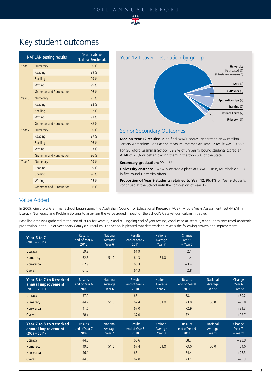### 2011 ANNUAL REPORT



## Key student outcomes

|                   | <b>NAPLAN testing results</b>  | % at or above<br><b>National Benchmark</b> |
|-------------------|--------------------------------|--------------------------------------------|
| Year <sub>3</sub> | Numeracy                       | 100%                                       |
|                   | Reading                        | 99%                                        |
|                   | Spelling                       | 99%                                        |
|                   | Writing                        | 99%                                        |
|                   | <b>Grammar and Punctuation</b> | 96%                                        |
| Year 5            | Numeracy                       | 95%                                        |
|                   | Reading                        | 92%                                        |
|                   | Spelling                       | 92%                                        |
|                   | Writing                        | 93%                                        |
|                   | <b>Grammar and Punctuation</b> | 88%                                        |
| Year 7            | Numeracy                       | 100%                                       |
|                   | Reading                        | 97%                                        |
|                   | Spelling                       | 96%                                        |
|                   | Writing                        | 93%                                        |
|                   | <b>Grammar and Punctuation</b> | 96%                                        |
| Year 9            | Numeracy                       | 99%                                        |
|                   | Reading                        | 99%                                        |
|                   | Spelling                       | 96%                                        |
|                   | Writing                        | 95%                                        |
|                   | <b>Grammar and Punctuation</b> | 96%                                        |



## Senior Secondary Outcomes

**Median Year 12 results:** Using final WACE scores, generating an Australian Tertiary Admissions Rank as the measure, the median Year 12 result was 80.55% For Guildford Grammar School, 59.8% of university bound students scored an ATAR of 75% or better, placing them in the top 25% of the State.

#### **Secondary graduation:** 99.11%

**University entrance:** 94.94% offered a place at UWA, Curtin, Murdoch or ECU in first round University offers.

Proportion of Year 9 students retained to Year 12: 96.4% of Year 9 students continued at the School until the completion of Year 12.

## Value Added

In 2009, Guildford Grammar School began using the Australian Council for Educational Research (ACER) Middle Years Assessment Test (MYAT) in Literacy, Numeracy and Problem Solving to ascertain the value added impact of the School's Catalyst curriculum initiative.

Base line data was gathered at the end of 2009 for Years 6, 7 and 8. Ongoing end of year testing, conducted at Years 7, 8 and 9 has confirmed academic progression in the Junior Secondary Catalyst curriculum. The School is pleased that data tracking reveals the following growth and improvement:

| Year 6 to 7<br>$(2010 - 2011)$                                    | <b>Results</b><br>end of Year 6<br>2010 | <b>National</b><br>Average<br>Year 6 | <b>Results</b><br>end of Year 7<br>2011 | <b>National</b><br>Average<br>Year 7 | Change<br>Year 6<br>$-$ Year $7$        |                                      |                                |
|-------------------------------------------------------------------|-----------------------------------------|--------------------------------------|-----------------------------------------|--------------------------------------|-----------------------------------------|--------------------------------------|--------------------------------|
| Literacy                                                          | 59.8                                    |                                      | 61.9                                    |                                      | $+2.1$                                  |                                      |                                |
| <b>Numeracy</b>                                                   | 62.6                                    | 51.0                                 | 64.3                                    | 51.0                                 | $+1.4$                                  |                                      |                                |
| Non-verbal                                                        | 62.9                                    |                                      | 66.3                                    |                                      | $+3.4$                                  |                                      |                                |
| <b>Overall</b>                                                    | 61.5                                    |                                      | 64.3                                    |                                      | $+2.8$                                  |                                      |                                |
| Year 6 to 7 to 8 tracked<br>annual improvement<br>$(2009 - 2011)$ | <b>Results</b><br>end of Year 6<br>2009 | <b>National</b><br>Average<br>Year 6 | <b>Results</b><br>end of Year 7<br>2010 | <b>National</b><br>Average<br>Year 7 | <b>Results</b><br>end of Year 8<br>2011 | <b>National</b><br>Average<br>Year 8 | Change<br>Year 6<br>$-$ Year 8 |
| Literacy                                                          | 37.9                                    |                                      | 65.1                                    |                                      | 68.1                                    |                                      | $+30.2$                        |
| <b>Numeracy</b>                                                   | 44.2                                    | 51.0                                 | 67.4                                    | 51.0                                 | 73.0                                    | 56.0                                 | $+28.8$                        |
| Non-verbal                                                        | 41.6                                    |                                      | 67.0                                    |                                      | 72.9                                    |                                      | $+31.3$                        |
| <b>Overall</b>                                                    | 38.4                                    |                                      | 67.0                                    |                                      | 72.1                                    |                                      | $+33.7$                        |
| Year 7 to 8 to 9 tracked<br>annual improvement<br>$(2009 - 2011)$ | <b>Results</b><br>end of Year 7<br>2009 | <b>National</b><br>Average<br>Year 7 | <b>Results</b><br>end of Year 8<br>2010 | <b>National</b><br>Average<br>Year 8 | <b>Results</b><br>end of Year 9<br>2011 | <b>National</b><br>Average<br>Year 9 | Change<br>Year 7<br>$-$ Year 9 |
| Literacy                                                          | 44.8                                    |                                      | 63.6                                    |                                      | 68.7                                    |                                      | $+23.9$                        |
| Numeracy                                                          | 49.0                                    | 51.0                                 | 67.4                                    | 51.0                                 | 73.0                                    | 56.0                                 | $+24.0$                        |
| Non-verbal                                                        | 46.1                                    |                                      | 65.1                                    |                                      | 74.4                                    |                                      | $+28.3$                        |
| <b>Overall</b>                                                    | 44.8                                    |                                      | 67.0                                    |                                      | 73.1                                    |                                      | $+28.3$                        |